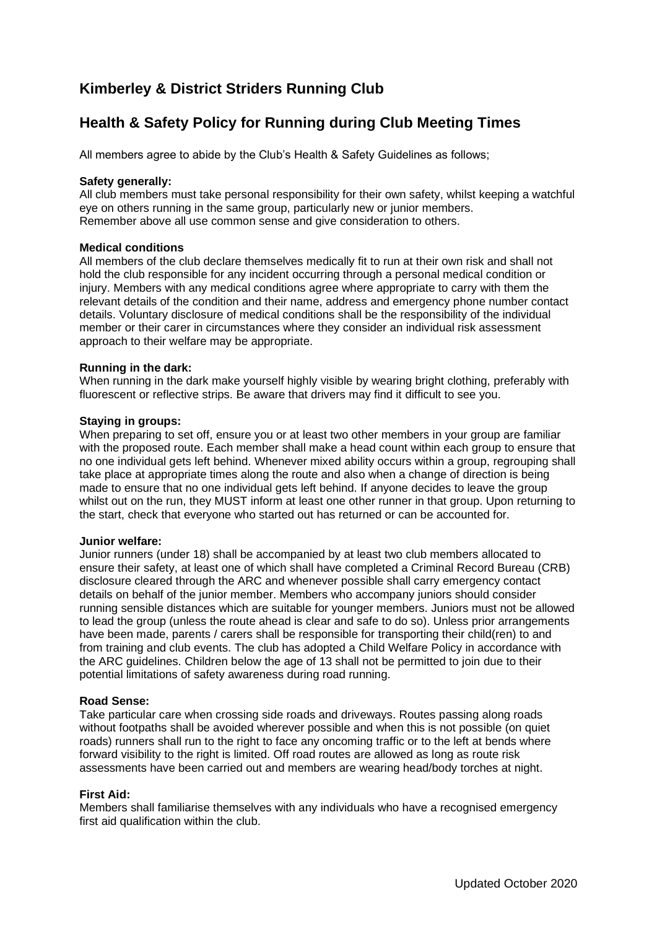# **Kimberley & District Striders Running Club**

# **Health & Safety Policy for Running during Club Meeting Times**

All members agree to abide by the Club's Health & Safety Guidelines as follows;

## **Safety generally:**

All club members must take personal responsibility for their own safety, whilst keeping a watchful eye on others running in the same group, particularly new or junior members. Remember above all use common sense and give consideration to others.

# **Medical conditions**

All members of the club declare themselves medically fit to run at their own risk and shall not hold the club responsible for any incident occurring through a personal medical condition or injury. Members with any medical conditions agree where appropriate to carry with them the relevant details of the condition and their name, address and emergency phone number contact details. Voluntary disclosure of medical conditions shall be the responsibility of the individual member or their carer in circumstances where they consider an individual risk assessment approach to their welfare may be appropriate.

## **Running in the dark:**

When running in the dark make yourself highly visible by wearing bright clothing, preferably with fluorescent or reflective strips. Be aware that drivers may find it difficult to see you.

#### **Staying in groups:**

When preparing to set off, ensure you or at least two other members in your group are familiar with the proposed route. Each member shall make a head count within each group to ensure that no one individual gets left behind. Whenever mixed ability occurs within a group, regrouping shall take place at appropriate times along the route and also when a change of direction is being made to ensure that no one individual gets left behind. If anyone decides to leave the group whilst out on the run, they MUST inform at least one other runner in that group. Upon returning to the start, check that everyone who started out has returned or can be accounted for.

#### **Junior welfare:**

Junior runners (under 18) shall be accompanied by at least two club members allocated to ensure their safety, at least one of which shall have completed a Criminal Record Bureau (CRB) disclosure cleared through the ARC and whenever possible shall carry emergency contact details on behalf of the junior member. Members who accompany juniors should consider running sensible distances which are suitable for younger members. Juniors must not be allowed to lead the group (unless the route ahead is clear and safe to do so). Unless prior arrangements have been made, parents / carers shall be responsible for transporting their child(ren) to and from training and club events. The club has adopted a Child Welfare Policy in accordance with the ARC guidelines. Children below the age of 13 shall not be permitted to join due to their potential limitations of safety awareness during road running.

#### **Road Sense:**

Take particular care when crossing side roads and driveways. Routes passing along roads without footpaths shall be avoided wherever possible and when this is not possible (on quiet roads) runners shall run to the right to face any oncoming traffic or to the left at bends where forward visibility to the right is limited. Off road routes are allowed as long as route risk assessments have been carried out and members are wearing head/body torches at night.

# **First Aid:**

Members shall familiarise themselves with any individuals who have a recognised emergency first aid qualification within the club.